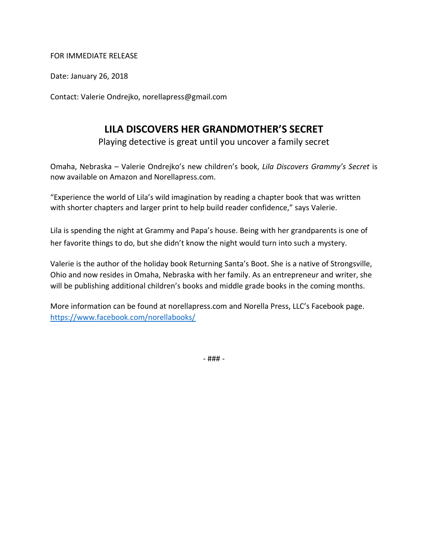#### FOR IMMEDIATE RELEASE

Date: January 26, 2018

Contact: Valerie Ondrejko, [norellapress@gmail.com](mailto:vberish@yahoo.com)

## **LILA DISCOVERS HER GRANDMOTHER'S SECRET**

Playing detective is great until you uncover a family secret

Omaha, Nebraska – Valerie Ondrejko's new children's book, *Lila Discovers Grammy's Secret* is now available on Amazon and Norellapress.com.

"Experience the world of Lila's wild imagination by reading a chapter book that was written with shorter chapters and larger print to help build reader confidence," says Valerie.

Lila is spending the night at Grammy and Papa's house. Being with her grandparents is one of her favorite things to do, but she didn't know the night would turn into such a mystery.

Valerie is the author of the holiday book Returning Santa's Boot. She is a native of Strongsville, Ohio and now resides in Omaha, Nebraska with her family. As an entrepreneur and writer, she will be publishing additional children's books and middle grade books in the coming months.

More information can be found at norellapress.com and Norella Press, LLC's Facebook page. <https://www.facebook.com/norellabooks/>

- ### -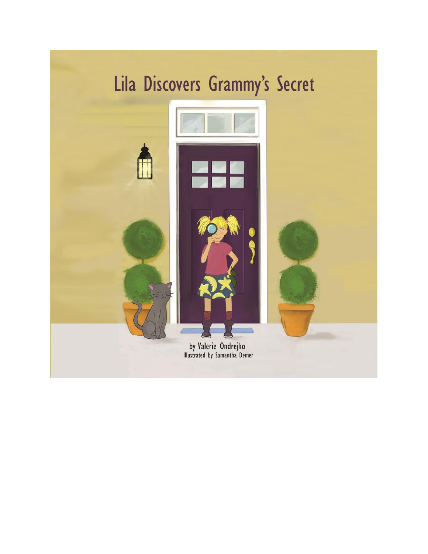# Lila Discovers Grammy's Secret

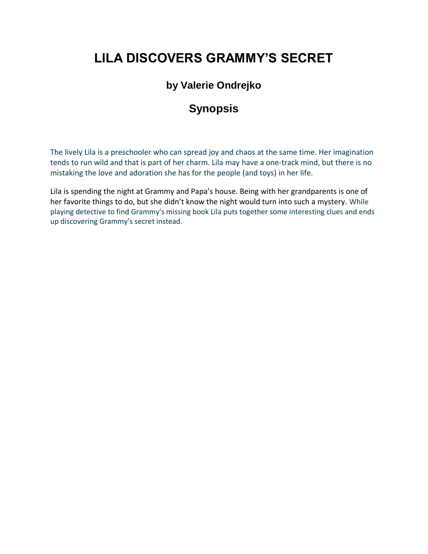# **LILA DISCOVERS GRAMMY'S SECRET**

## **by Valerie Ondrejko**

## **Synopsis**

The lively Lila is a preschooler who can spread joy and chaos at the same time. Her imagination tends to run wild and that is part of her charm. Lila may have a one-track mind, but there is no mistaking the love and adoration she has for the people (and toys) in her life.

Lila is spending the night at Grammy and Papa's house. Being with her grandparents is one of her favorite things to do, but she didn't know the night would turn into such a mystery. While playing detective to find Grammy's missing book Lila puts together some interesting clues and ends up discovering Grammy's secret instead.